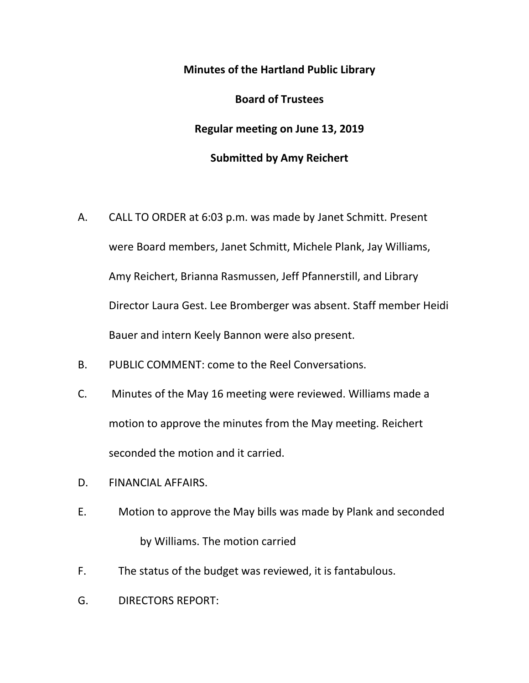## **Minutes of the Hartland Public Library Board of Trustees Regular meeting on June 13, 2019 Submitted by Amy Reichert**

- A. CALL TO ORDER at 6:03 p.m. was made by Janet Schmitt. Present were Board members, Janet Schmitt, Michele Plank, Jay Williams, Amy Reichert, Brianna Rasmussen, Jeff Pfannerstill, and Library Director Laura Gest. Lee Bromberger was absent. Staff member Heidi Bauer and intern Keely Bannon were also present.
- B. PUBLIC COMMENT: come to the Reel Conversations.
- C. Minutes of the May 16 meeting were reviewed. Williams made a motion to approve the minutes from the May meeting. Reichert seconded the motion and it carried.
- D. FINANCIAL AFFAIRS.
- E. Motion to approve the May bills was made by Plank and seconded by Williams. The motion carried
- F. The status of the budget was reviewed, it is fantabulous.
- G. DIRECTORS REPORT: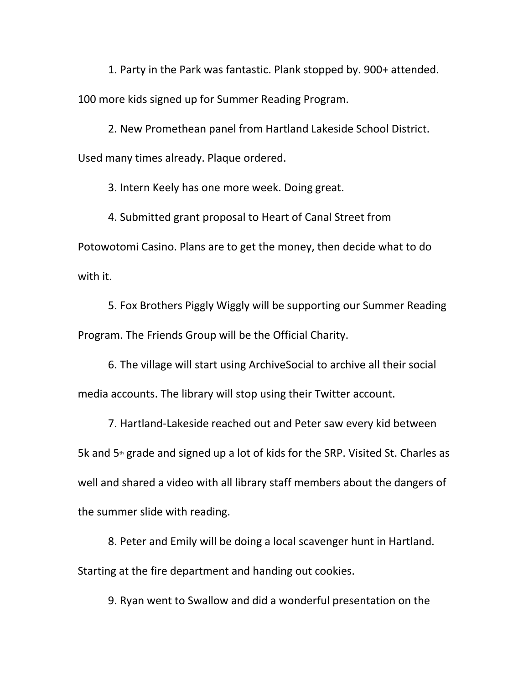1. Party in the Park was fantastic. Plank stopped by. 900+ attended. 100 more kids signed up for Summer Reading Program.

2. New Promethean panel from Hartland Lakeside School District. Used many times already. Plaque ordered.

3. Intern Keely has one more week. Doing great.

4. Submitted grant proposal to Heart of Canal Street from Potowotomi Casino. Plans are to get the money, then decide what to do with it.

5. Fox Brothers Piggly Wiggly will be supporting our Summer Reading Program. The Friends Group will be the Official Charity.

6. The village will start using ArchiveSocial to archive all their social media accounts. The library will stop using their Twitter account.

7. Hartland-Lakeside reached out and Peter saw every kid between 5k and  $5<sup>th</sup>$  grade and signed up a lot of kids for the SRP. Visited St. Charles as well and shared a video with all library staff members about the dangers of the summer slide with reading.

8. Peter and Emily will be doing a local scavenger hunt in Hartland. Starting at the fire department and handing out cookies.

9. Ryan went to Swallow and did a wonderful presentation on the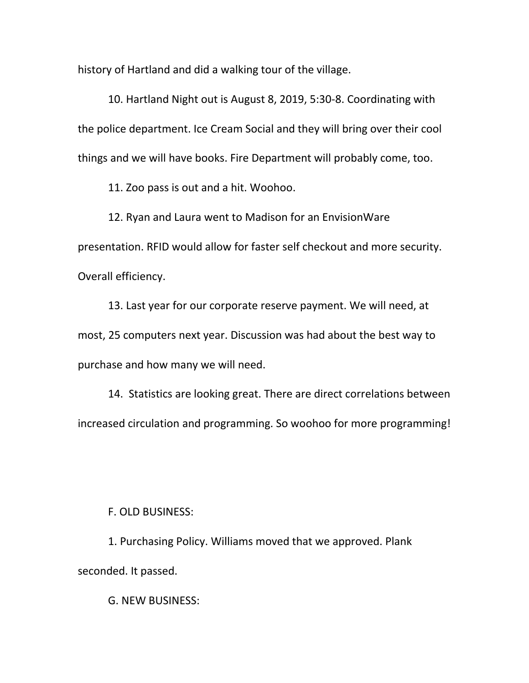history of Hartland and did a walking tour of the village.

10. Hartland Night out is August 8, 2019, 5:30-8. Coordinating with the police department. Ice Cream Social and they will bring over their cool things and we will have books. Fire Department will probably come, too.

11. Zoo pass is out and a hit. Woohoo.

12. Ryan and Laura went to Madison for an EnvisionWare presentation. RFID would allow for faster self checkout and more security. Overall efficiency.

13. Last year for our corporate reserve payment. We will need, at most, 25 computers next year. Discussion was had about the best way to purchase and how many we will need.

14. Statistics are looking great. There are direct correlations between increased circulation and programming. So woohoo for more programming!

## F. OLD BUSINESS:

1. Purchasing Policy. Williams moved that we approved. Plank seconded. It passed.

G. NEW BUSINESS: